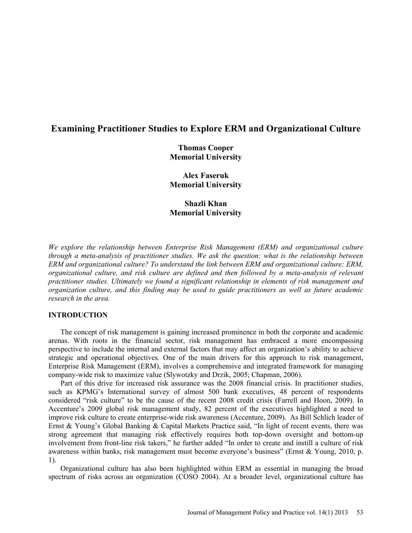# **Examining Practitioner Studies to Explore ERM and Organizational Culture**

**Thomas Cooper Memorial University** 

**Alex Faseruk Memorial University** 

**Shazli Khan Memorial University** 

*We explore the relationship between Enterprise Risk Management (ERM) and organizational culture through a meta-analysis of practitioner studies. We ask the question: what is the relationship between ERM and organizational culture? To understand the link between ERM and organizational culture; ERM, organizational culture, and risk culture are defined and then followed by a meta-analysis of relevant practitioner studies. Ultimately we found a significant relationship in elements of risk management and organization culture, and this finding may be used to guide practitioners as well as future academic research in the area.* 

# **INTRODUCTION**

The concept of risk management is gaining increased prominence in both the corporate and academic arenas. With roots in the financial sector, risk management has embraced a more encompassing perspective to include the internal and external factors that may affect an organization's ability to achieve strategic and operational objectives. One of the main drivers for this approach to risk management, Enterprise Risk Management (ERM), involves a comprehensive and integrated framework for managing company-wide risk to maximize value (Slywotzky and Drzik, 2005; Chapman, 2006).

Part of this drive for increased risk assurance was the 2008 financial crisis. In practitioner studies, such as KPMG's International survey of almost 500 bank executives, 48 percent of respondents considered "risk culture" to be the cause of the recent 2008 credit crisis (Farrell and Hoon, 2009). In Accenture's 2009 global risk management study, 82 percent of the executives highlighted a need to improve risk culture to create enterprise-wide risk awareness (Accenture, 2009). As Bill Schlich leader of Ernst & Young's Global Banking & Capital Markets Practice said, "In light of recent events, there was strong agreement that managing risk effectively requires both top-down oversight and bottom-up involvement from front-line risk takers," he further added "In order to create and instill a culture of risk awareness within banks, risk management must become everyone's business" (Ernst & Young, 2010, p. 1).

Organizational culture has also been highlighted within ERM as essential in managing the broad spectrum of risks across an organization (COSO 2004). At a broader level, organizational culture has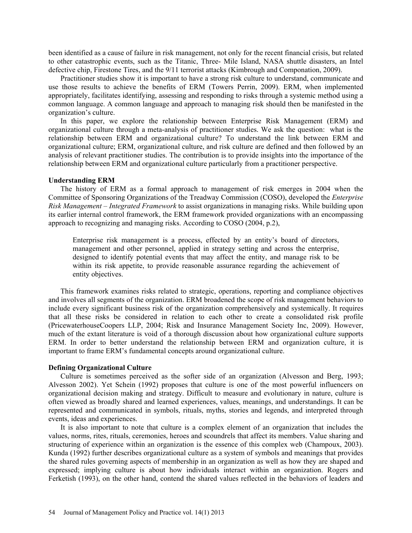been identified as a cause of failure in risk management, not only for the recent financial crisis, but related to other catastrophic events, such as the Titanic, Three- Mile Island, NASA shuttle disasters, an Intel defective chip, Firestone Tires, and the 9/11 terrorist attacks (Kimbrough and Componation, 2009).

Practitioner studies show it is important to have a strong risk culture to understand, communicate and use those results to achieve the benefits of ERM (Towers Perrin, 2009). ERM, when implemented appropriately, facilitates identifying, assessing and responding to risks through a systemic method using a common language. A common language and approach to managing risk should then be manifested in the organization's culture.

In this paper, we explore the relationship between Enterprise Risk Management (ERM) and organizational culture through a meta-analysis of practitioner studies. We ask the question: what is the relationship between ERM and organizational culture? To understand the link between ERM and organizational culture; ERM, organizational culture, and risk culture are defined and then followed by an analysis of relevant practitioner studies. The contribution is to provide insights into the importance of the relationship between ERM and organizational culture particularly from a practitioner perspective.

#### **Understanding ERM**

The history of ERM as a formal approach to management of risk emerges in 2004 when the Committee of Sponsoring Organizations of the Treadway Commission (COSO), developed the *Enterprise Risk Management – Integrated Framework* to assist organizations in managing risks. While building upon its earlier internal control framework, the ERM framework provided organizations with an encompassing approach to recognizing and managing risks. According to COSO (2004, p.2),

Enterprise risk management is a process, effected by an entity's board of directors, management and other personnel, applied in strategy setting and across the enterprise, designed to identify potential events that may affect the entity, and manage risk to be within its risk appetite, to provide reasonable assurance regarding the achievement of entity objectives.

This framework examines risks related to strategic, operations, reporting and compliance objectives and involves all segments of the organization. ERM broadened the scope of risk management behaviors to include every significant business risk of the organization comprehensively and systemically. It requires that all these risks be considered in relation to each other to create a consolidated risk profile (PricewaterhouseCoopers LLP, 2004; Risk and Insurance Management Society Inc, 2009). However, much of the extant literature is void of a thorough discussion about how organizational culture supports ERM. In order to better understand the relationship between ERM and organization culture, it is important to frame ERM's fundamental concepts around organizational culture.

#### **Defining Organizational Culture**

Culture is sometimes perceived as the softer side of an organization (Alvesson and Berg, 1993; Alvesson 2002). Yet Schein (1992) proposes that culture is one of the most powerful influencers on organizational decision making and strategy. Difficult to measure and evolutionary in nature, culture is often viewed as broadly shared and learned experiences, values, meanings, and understandings. It can be represented and communicated in symbols, rituals, myths, stories and legends, and interpreted through events, ideas and experiences.

It is also important to note that culture is a complex element of an organization that includes the values, norms, rites, rituals, ceremonies, heroes and scoundrels that affect its members. Value sharing and structuring of experience within an organization is the essence of this complex web (Champoux, 2003). Kunda (1992) further describes organizational culture as a system of symbols and meanings that provides the shared rules governing aspects of membership in an organization as well as how they are shaped and expressed; implying culture is about how individuals interact within an organization. Rogers and Ferketish (1993), on the other hand, contend the shared values reflected in the behaviors of leaders and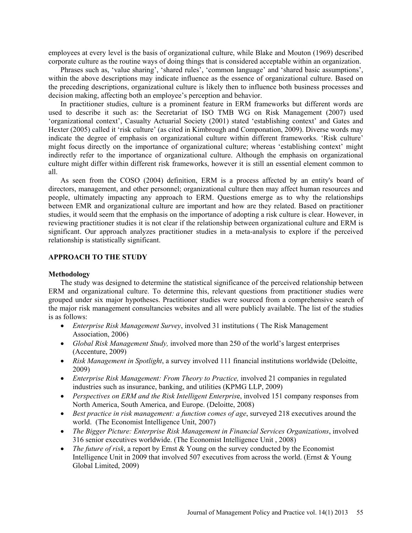employees at every level is the basis of organizational culture, while Blake and Mouton (1969) described corporate culture as the routine ways of doing things that is considered acceptable within an organization.

Phrases such as, 'value sharing', 'shared rules', 'common language' and 'shared basic assumptions', within the above descriptions may indicate influence as the essence of organizational culture. Based on the preceding descriptions, organizational culture is likely then to influence both business processes and decision making, affecting both an employee's perception and behavior.

In practitioner studies, culture is a prominent feature in ERM frameworks but different words are used to describe it such as: the Secretariat of ISO TMB WG on Risk Management (2007) used 'organizational context', Casualty Actuarial Society (2001) stated 'establishing context' and Gates and Hexter (2005) called it 'risk culture' (as cited in Kimbrough and Componation, 2009). Diverse words may indicate the degree of emphasis on organizational culture within different frameworks. 'Risk culture' might focus directly on the importance of organizational culture; whereas 'establishing context' might indirectly refer to the importance of organizational culture. Although the emphasis on organizational culture might differ within different risk frameworks, however it is still an essential element common to all.

As seen from the COSO (2004) definition, ERM is a process affected by an entity's board of directors, management, and other personnel; organizational culture then may affect human resources and people, ultimately impacting any approach to ERM. Questions emerge as to why the relationships between EMR and organizational culture are important and how are they related. Based on practitioner studies, it would seem that the emphasis on the importance of adopting a risk culture is clear. However, in reviewing practitioner studies it is not clear if the relationship between organizational culture and ERM is significant. Our approach analyzes practitioner studies in a meta-analysis to explore if the perceived relationship is statistically significant.

# **APPROACH TO THE STUDY**

#### **Methodology**

The study was designed to determine the statistical significance of the perceived relationship between ERM and organizational culture. To determine this, relevant questions from practitioner studies were grouped under six major hypotheses. Practitioner studies were sourced from a comprehensive search of the major risk management consultancies websites and all were publicly available. The list of the studies is as follows:

- *Enterprise Risk Management Survey*, involved 31 institutions ( The Risk Management Association, 2006)
- *Global Risk Management Study,* involved more than 250 of the world's largest enterprises (Accenture, 2009)
- *Risk Management in Spotlight*, a survey involved 111 financial institutions worldwide (Deloitte, 2009)
- *Enterprise Risk Management: From Theory to Practice,* involved 21 companies in regulated industries such as insurance, banking, and utilities (KPMG LLP, 2009)
- *Perspectives on ERM and the Risk Intelligent Enterpris*e, involved 151 company responses from North America, South America, and Europe. (Deloitte, 2008)
- *Best practice in risk management: a function comes of age*, surveyed 218 executives around the world. (The Economist Intelligence Unit, 2007)
- *The Bigger Picture: Enterprise Risk Management in Financial Services Organizations*, involved 316 senior executives worldwide. (The Economist Intelligence Unit , 2008)
- *The future of risk*, a report by Ernst & Young on the survey conducted by the Economist Intelligence Unit in 2009 that involved 507 executives from across the world. (Ernst & Young Global Limited, 2009)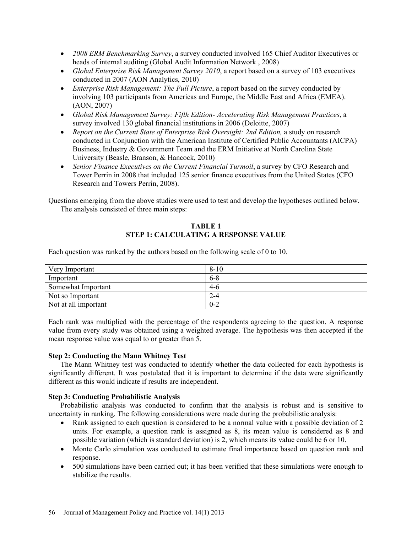- *2008 ERM Benchmarking Survey*, a survey conducted involved 165 Chief Auditor Executives or heads of internal auditing (Global Audit Information Network , 2008)
- *Global Enterprise Risk Management Survey 2010*, a report based on a survey of 103 executives conducted in 2007 (AON Analytics, 2010)
- *Enterprise Risk Management: The Full Picture*, a report based on the survey conducted by involving 103 participants from Americas and Europe, the Middle East and Africa (EMEA). (AON, 2007)
- *Global Risk Management Survey: Fifth Edition- Accelerating Risk Management Practices*, a survey involved 130 global financial institutions in 2006 (Deloitte, 2007)
- *Report on the Current State of Enterprise Risk Oversight: 2nd Edition,* a study on research conducted in Conjunction with the American Institute of Certified Public Accountants (AICPA) Business, Industry & Government Team and the ERM Initiative at North Carolina State University (Beasle, Branson, & Hancock, 2010)
- Senior Finance Executives on the Current Financial Turmoil, a survey by CFO Research and Tower Perrin in 2008 that included 125 senior finance executives from the United States (CFO Research and Towers Perrin, 2008).

Questions emerging from the above studies were used to test and develop the hypotheses outlined below. The analysis consisted of three main steps:

# **TABLE 1 STEP 1: CALCULATING A RESPONSE VALUE**

Each question was ranked by the authors based on the following scale of 0 to 10.

| Very Important       | $8 - 10$ |
|----------------------|----------|
| Important            | $6 - 8$  |
| Somewhat Important   | $4-6$    |
| Not so Important     | $2 - 4$  |
| Not at all important | $0 - 2$  |

Each rank was multiplied with the percentage of the respondents agreeing to the question. A response value from every study was obtained using a weighted average. The hypothesis was then accepted if the mean response value was equal to or greater than 5.

# **Step 2: Conducting the Mann Whitney Test**

The Mann Whitney test was conducted to identify whether the data collected for each hypothesis is significantly different. It was postulated that it is important to determine if the data were significantly different as this would indicate if results are independent.

#### **Step 3: Conducting Probabilistic Analysis**

Probabilistic analysis was conducted to confirm that the analysis is robust and is sensitive to uncertainty in ranking. The following considerations were made during the probabilistic analysis:

- Rank assigned to each question is considered to be a normal value with a possible deviation of 2 units. For example, a question rank is assigned as 8, its mean value is considered as 8 and possible variation (which is standard deviation) is 2, which means its value could be 6 or 10.
- Monte Carlo simulation was conducted to estimate final importance based on question rank and response.
- 500 simulations have been carried out; it has been verified that these simulations were enough to stabilize the results.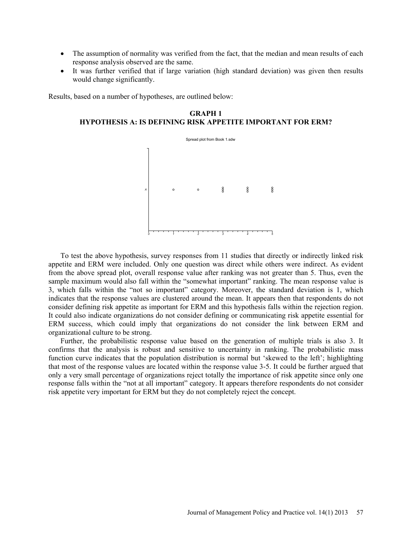- The assumption of normality was verified from the fact, that the median and mean results of each response analysis observed are the same.
- It was further verified that if large variation (high standard deviation) was given then results would change significantly.

Results, based on a number of hypotheses, are outlined below:

**GRAPH 1 HYPOTHESIS A: IS DEFINING RISK APPETITE IMPORTANT FOR ERM?** 



To test the above hypothesis, survey responses from 11 studies that directly or indirectly linked risk appetite and ERM were included. Only one question was direct while others were indirect. As evident from the above spread plot, overall response value after ranking was not greater than 5. Thus, even the sample maximum would also fall within the "somewhat important" ranking. The mean response value is 3, which falls within the "not so important" category. Moreover, the standard deviation is 1, which indicates that the response values are clustered around the mean. It appears then that respondents do not consider defining risk appetite as important for ERM and this hypothesis falls within the rejection region. It could also indicate organizations do not consider defining or communicating risk appetite essential for ERM success, which could imply that organizations do not consider the link between ERM and organizational culture to be strong.

Further, the probabilistic response value based on the generation of multiple trials is also 3. It confirms that the analysis is robust and sensitive to uncertainty in ranking. The probabilistic mass function curve indicates that the population distribution is normal but 'skewed to the left'; highlighting that most of the response values are located within the response value 3-5. It could be further argued that only a very small percentage of organizations reject totally the importance of risk appetite since only one response falls within the "not at all important" category. It appears therefore respondents do not consider risk appetite very important for ERM but they do not completely reject the concept.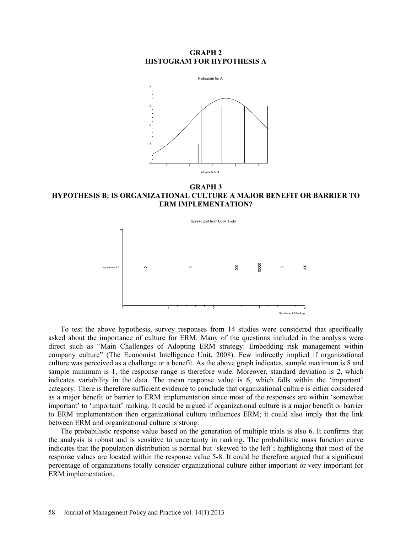### **GRAPH 2 HISTOGRAM FOR HYPOTHESIS A**



**GRAPH 3 HYPOTHESIS B: IS ORGANIZATIONAL CULTURE A MAJOR BENEFIT OR BARRIER TO ERM IMPLEMENTATION?** 



To test the above hypothesis, survey responses from 14 studies were considered that specifically asked about the importance of culture for ERM. Many of the questions included in the analysis were direct such as "Main Challenges of Adopting ERM strategy: Embedding risk management within company culture" (The Economist Intelligence Unit, 2008). Few indirectly implied if organizational culture was perceived as a challenge or a benefit. As the above graph indicates, sample maximum is 8 and sample minimum is 1, the response range is therefore wide. Moreover, standard deviation is 2, which indicates variability in the data. The mean response value is 6, which falls within the 'important' category. There is therefore sufficient evidence to conclude that organizational culture is either considered as a major benefit or barrier to ERM implementation since most of the responses are within 'somewhat important' to 'important' ranking. It could be argued if organizational culture is a major benefit or barrier to ERM implementation then organizational culture influences ERM; it could also imply that the link between ERM and organizational culture is strong.

The probabilistic response value based on the generation of multiple trials is also 6. It confirms that the analysis is robust and is sensitive to uncertainty in ranking. The probabilistic mass function curve indicates that the population distribution is normal but 'skewed to the left'; highlighting that most of the response values are located within the response value 5-8. It could be therefore argued that a significant percentage of organizations totally consider organizational culture either important or very important for ERM implementation.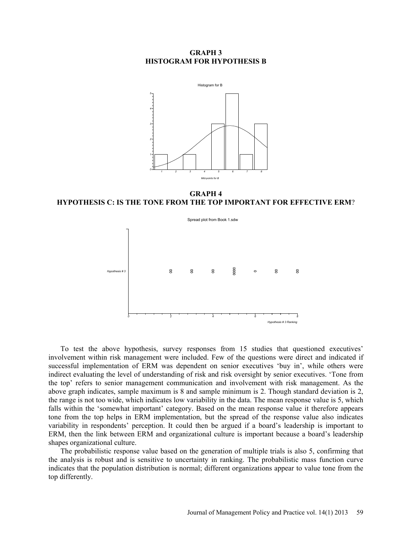#### **GRAPH 3 HISTOGRAM FOR HYPOTHESIS B**



**GRAPH 4 HYPOTHESIS C: IS THE TONE FROM THE TOP IMPORTANT FOR EFFECTIVE ERM**?



To test the above hypothesis, survey responses from 15 studies that questioned executives' involvement within risk management were included. Few of the questions were direct and indicated if successful implementation of ERM was dependent on senior executives 'buy in', while others were indirect evaluating the level of understanding of risk and risk oversight by senior executives. 'Tone from the top' refers to senior management communication and involvement with risk management. As the above graph indicates, sample maximum is 8 and sample minimum is 2. Though standard deviation is 2, the range is not too wide, which indicates low variability in the data. The mean response value is 5, which falls within the 'somewhat important' category. Based on the mean response value it therefore appears tone from the top helps in ERM implementation, but the spread of the response value also indicates variability in respondents' perception. It could then be argued if a board's leadership is important to ERM, then the link between ERM and organizational culture is important because a board's leadership shapes organizational culture.

The probabilistic response value based on the generation of multiple trials is also 5, confirming that the analysis is robust and is sensitive to uncertainty in ranking. The probabilistic mass function curve indicates that the population distribution is normal; different organizations appear to value tone from the top differently.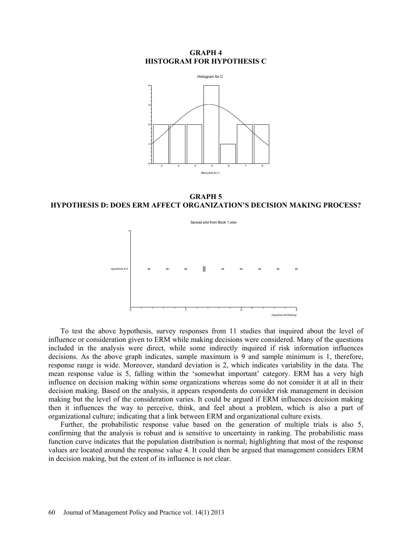#### **GRAPH 4 HISTOGRAM FOR HYPOTHESIS C**



**GRAPH 5 HYPOTHESIS D: DOES ERM AFFECT ORGANIZATION'S DECISION MAKING PROCESS?** 



To test the above hypothesis, survey responses from 11 studies that inquired about the level of influence or consideration given to ERM while making decisions were considered. Many of the questions included in the analysis were direct, while some indirectly inquired if risk information influences decisions. As the above graph indicates, sample maximum is 9 and sample minimum is 1, therefore, response range is wide. Moreover, standard deviation is 2, which indicates variability in the data. The mean response value is 5, falling within the 'somewhat important' category. ERM has a very high influence on decision making within some organizations whereas some do not consider it at all in their decision making. Based on the analysis, it appears respondents do consider risk management in decision making but the level of the consideration varies. It could be argued if ERM influences decision making then it influences the way to perceive, think, and feel about a problem, which is also a part of organizational culture; indicating that a link between ERM and organizational culture exists.

Further, the probabilistic response value based on the generation of multiple trials is also 5, confirming that the analysis is robust and is sensitive to uncertainty in ranking. The probabilistic mass function curve indicates that the population distribution is normal; highlighting that most of the response values are located around the response value 4. It could then be argued that management considers ERM in decision making, but the extent of its influence is not clear.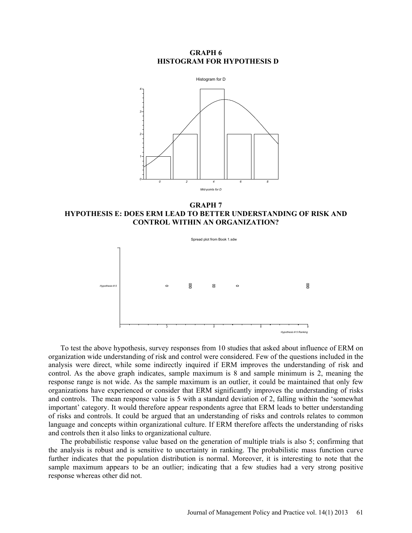### **GRAPH 6 HISTOGRAM FOR HYPOTHESIS D**



**GRAPH 7 HYPOTHESIS E: DOES ERM LEAD TO BETTER UNDERSTANDING OF RISK AND CONTROL WITHIN AN ORGANIZATION?** 



To test the above hypothesis, survey responses from 10 studies that asked about influence of ERM on organization wide understanding of risk and control were considered. Few of the questions included in the analysis were direct, while some indirectly inquired if ERM improves the understanding of risk and control. As the above graph indicates, sample maximum is 8 and sample minimum is 2, meaning the response range is not wide. As the sample maximum is an outlier, it could be maintained that only few organizations have experienced or consider that ERM significantly improves the understanding of risks and controls. The mean response value is 5 with a standard deviation of 2, falling within the 'somewhat important' category. It would therefore appear respondents agree that ERM leads to better understanding of risks and controls. It could be argued that an understanding of risks and controls relates to common language and concepts within organizational culture. If ERM therefore affects the understanding of risks and controls then it also links to organizational culture.

The probabilistic response value based on the generation of multiple trials is also 5; confirming that the analysis is robust and is sensitive to uncertainty in ranking. The probabilistic mass function curve further indicates that the population distribution is normal. Moreover, it is interesting to note that the sample maximum appears to be an outlier; indicating that a few studies had a very strong positive response whereas other did not.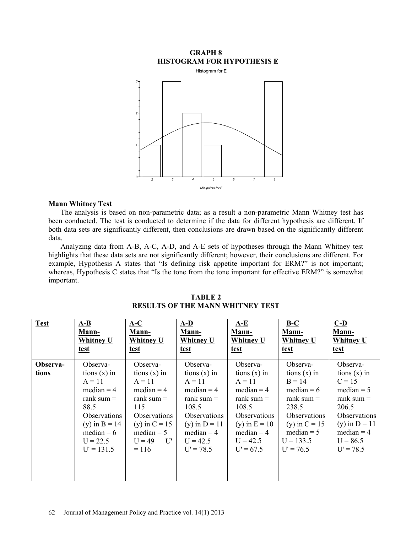# **GRAPH 8 HISTOGRAM FOR HYPOTHESIS E**



# **Mann Whitney Test**

The analysis is based on non-parametric data; as a result a non-parametric Mann Whitney test has been conducted. The test is conducted to determine if the data for different hypothesis are different. If both data sets are significantly different, then conclusions are drawn based on the significantly different data.

Analyzing data from A-B, A-C, A-D, and A-E sets of hypotheses through the Mann Whitney test highlights that these data sets are not significantly different; however, their conclusions are different. For example, Hypothesis A states that "Is defining risk appetite important for ERM?" is not important; whereas, Hypothesis C states that "Is the tone from the tone important for effective ERM?" is somewhat important.

| <b>Test</b>       | $A-B$                                                                                                                                                           | $A-C$                                                                                                                                                                            | $A-D$                                                                                                                                                           | $A-E$                                                                                                                                                           | $B-C$                                                                                                                                                                          | $C-D$                                                                                                                                                           |
|-------------------|-----------------------------------------------------------------------------------------------------------------------------------------------------------------|----------------------------------------------------------------------------------------------------------------------------------------------------------------------------------|-----------------------------------------------------------------------------------------------------------------------------------------------------------------|-----------------------------------------------------------------------------------------------------------------------------------------------------------------|--------------------------------------------------------------------------------------------------------------------------------------------------------------------------------|-----------------------------------------------------------------------------------------------------------------------------------------------------------------|
|                   | Mann-                                                                                                                                                           | Mann-                                                                                                                                                                            | Mann-                                                                                                                                                           | Mann-                                                                                                                                                           | Mann-                                                                                                                                                                          | Mann-                                                                                                                                                           |
|                   | <b>Whitney U</b>                                                                                                                                                | <b>Whitney U</b>                                                                                                                                                                 | <b>Whitney U</b>                                                                                                                                                | Whitney U                                                                                                                                                       | <b>Whitney U</b>                                                                                                                                                               | <b>Whitney U</b>                                                                                                                                                |
|                   | test                                                                                                                                                            | <u>test</u>                                                                                                                                                                      | test                                                                                                                                                            | test                                                                                                                                                            | <u>test</u>                                                                                                                                                                    | test                                                                                                                                                            |
| Observa-<br>tions | Observa-<br>tions $(x)$ in<br>$A = 11$<br>median $=$ 4<br>rank sum $=$<br>88.5<br>Observations<br>(y) in $B = 14$<br>median $= 6$<br>$U = 22.5$<br>$U' = 131.5$ | Observa-<br>tions $(x)$ in<br>$A = 11$<br>median $=$ 4<br>rank sum $=$<br>115<br>Observations<br>(y) in $C = 15$<br>$median = 5$<br>$U = 49$<br>$\mathbf{U}^{\prime}$<br>$= 116$ | Observa-<br>tions $(x)$ in<br>$A = 11$<br>median $=$ 4<br>rank sum $=$<br>108.5<br>Observations<br>(y) in $D = 11$<br>median $=$ 4<br>$U = 42.5$<br>$U' = 78.5$ | Observa-<br>tions $(x)$ in<br>$A = 11$<br>median $=$ 4<br>rank sum $=$<br>108.5<br>Observations<br>(y) in $E = 10$<br>$median = 4$<br>$U = 42.5$<br>$U' = 67.5$ | Observa-<br>tions $(x)$ in<br>$B = 14$<br>median $= 6$<br>rank sum $=$<br>238.5<br><i><b>Observations</b></i><br>(y) in $C = 15$<br>$median = 5$<br>$U = 133.5$<br>$U' = 76.5$ | Observa-<br>tions $(x)$ in<br>$C = 15$<br>median $= 5$<br>rank sum $=$<br>206.5<br>Observations<br>(y) in $D = 11$<br>median $=$ 4<br>$U = 86.5$<br>$U' = 78.5$ |

**TABLE 2 RESULTS OF THE MANN WHITNEY TEST**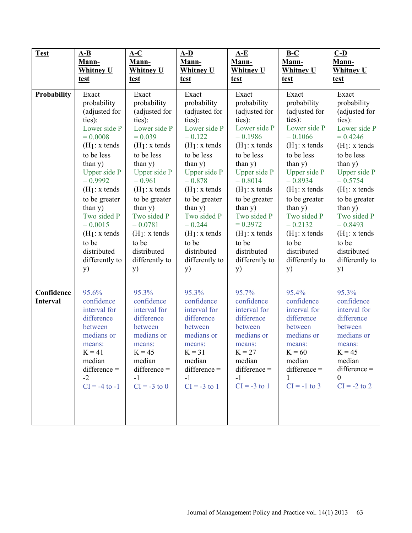| <b>Test</b>                                       | $A-B$                                                                                                                                                     | $A-C$                                                                                                                                                  | $A-D$                                                                                                                                                  | $A-E$                                                                                                                                                  | $B-C$                                                                                                                                                          | $C-D$                                                                                                                                                            |
|---------------------------------------------------|-----------------------------------------------------------------------------------------------------------------------------------------------------------|--------------------------------------------------------------------------------------------------------------------------------------------------------|--------------------------------------------------------------------------------------------------------------------------------------------------------|--------------------------------------------------------------------------------------------------------------------------------------------------------|----------------------------------------------------------------------------------------------------------------------------------------------------------------|------------------------------------------------------------------------------------------------------------------------------------------------------------------|
|                                                   | Mann-                                                                                                                                                     | Mann-                                                                                                                                                  | Mann-                                                                                                                                                  | Mann-                                                                                                                                                  | Mann-                                                                                                                                                          | Mann-                                                                                                                                                            |
|                                                   | <b>Whitney U</b>                                                                                                                                          | <b>Whitney U</b>                                                                                                                                       | <b>Whitney U</b>                                                                                                                                       | <b>Whitney U</b>                                                                                                                                       | <b>Whitney U</b>                                                                                                                                               | <b>Whitney U</b>                                                                                                                                                 |
|                                                   | test                                                                                                                                                      | <u>test</u>                                                                                                                                            | <u>test</u>                                                                                                                                            | <u>test</u>                                                                                                                                            | test                                                                                                                                                           | test                                                                                                                                                             |
| Probability                                       | Exact                                                                                                                                                     | Exact                                                                                                                                                  | Exact                                                                                                                                                  | Exact                                                                                                                                                  | Exact                                                                                                                                                          | Exact                                                                                                                                                            |
|                                                   | probability                                                                                                                                               | probability                                                                                                                                            | probability                                                                                                                                            | probability                                                                                                                                            | probability                                                                                                                                                    | probability                                                                                                                                                      |
|                                                   | (adjusted for                                                                                                                                             | (adjusted for                                                                                                                                          | (adjusted for                                                                                                                                          | (adjusted for                                                                                                                                          | (adjusted for                                                                                                                                                  | (adjusted for                                                                                                                                                    |
|                                                   | ties):                                                                                                                                                    | ties):                                                                                                                                                 | ties):                                                                                                                                                 | ties):                                                                                                                                                 | ties):                                                                                                                                                         | ties):                                                                                                                                                           |
|                                                   | Lower side P                                                                                                                                              | Lower side P                                                                                                                                           | Lower side P                                                                                                                                           | Lower side P                                                                                                                                           | Lower side P                                                                                                                                                   | Lower side P                                                                                                                                                     |
|                                                   | $= 0.0008$                                                                                                                                                | $= 0.039$                                                                                                                                              | $= 0.122$                                                                                                                                              | $= 0.1986$                                                                                                                                             | $= 0.1066$                                                                                                                                                     | $= 0.4246$                                                                                                                                                       |
|                                                   | $(H1: x$ tends                                                                                                                                            | $(H_1: x$ tends                                                                                                                                        | $(H1:x$ tends                                                                                                                                          | $(H1:x$ tends                                                                                                                                          | $(H_1: x$ tends                                                                                                                                                | $(H1:x$ tends                                                                                                                                                    |
|                                                   | to be less                                                                                                                                                | to be less                                                                                                                                             | to be less                                                                                                                                             | to be less                                                                                                                                             | to be less                                                                                                                                                     | to be less                                                                                                                                                       |
|                                                   | than $y)$                                                                                                                                                 | than y)                                                                                                                                                | than $y)$                                                                                                                                              | than y)                                                                                                                                                | than $y)$                                                                                                                                                      | than $y)$                                                                                                                                                        |
|                                                   | Upper side P                                                                                                                                              | Upper side P                                                                                                                                           | Upper side P                                                                                                                                           | Upper side P                                                                                                                                           | <b>Upper side P</b>                                                                                                                                            | Upper side P                                                                                                                                                     |
|                                                   | $= 0.9992$                                                                                                                                                | $= 0.961$                                                                                                                                              | $= 0.878$                                                                                                                                              | $= 0.8014$                                                                                                                                             | $= 0.8934$                                                                                                                                                     | $= 0.5754$                                                                                                                                                       |
|                                                   | $(H1: x$ tends                                                                                                                                            | $(H1:x$ tends                                                                                                                                          | $(H1:x$ tends                                                                                                                                          | $(H1:x$ tends                                                                                                                                          | $(H1: x$ tends                                                                                                                                                 | $(H1:x$ tends                                                                                                                                                    |
|                                                   | to be greater                                                                                                                                             | to be greater                                                                                                                                          | to be greater                                                                                                                                          | to be greater                                                                                                                                          | to be greater                                                                                                                                                  | to be greater                                                                                                                                                    |
|                                                   | than y)                                                                                                                                                   | than $y)$                                                                                                                                              | than $y)$                                                                                                                                              | than $y)$                                                                                                                                              | than y)                                                                                                                                                        | than y)                                                                                                                                                          |
|                                                   | Two sided P                                                                                                                                               | Two sided P                                                                                                                                            | Two sided P                                                                                                                                            | Two sided P                                                                                                                                            | Two sided P                                                                                                                                                    | Two sided P                                                                                                                                                      |
|                                                   | $= 0.0015$                                                                                                                                                | $= 0.0781$                                                                                                                                             | $= 0.244$                                                                                                                                              | $= 0.3972$                                                                                                                                             | $= 0.2132$                                                                                                                                                     | $= 0.8493$                                                                                                                                                       |
|                                                   | $(H1:x$ tends                                                                                                                                             | $(H1:x$ tends                                                                                                                                          | $(H_1: x$ tends                                                                                                                                        | $(H1:x$ tends                                                                                                                                          | $(H1: x$ tends                                                                                                                                                 | $(H1:x$ tends                                                                                                                                                    |
|                                                   | to be                                                                                                                                                     | to be                                                                                                                                                  | to be                                                                                                                                                  | to be                                                                                                                                                  | to be                                                                                                                                                          | to be                                                                                                                                                            |
|                                                   | distributed                                                                                                                                               | distributed                                                                                                                                            | distributed                                                                                                                                            | distributed                                                                                                                                            | distributed                                                                                                                                                    | distributed                                                                                                                                                      |
|                                                   | differently to                                                                                                                                            | differently to                                                                                                                                         | differently to                                                                                                                                         | differently to                                                                                                                                         | differently to                                                                                                                                                 | differently to                                                                                                                                                   |
|                                                   | <b>y</b> )                                                                                                                                                | y)                                                                                                                                                     | <b>y</b> )                                                                                                                                             | y)                                                                                                                                                     | <b>y</b> )                                                                                                                                                     | y)                                                                                                                                                               |
| $\overline{\text{Confidence}}$<br><b>Interval</b> | 95.6%<br>confidence<br>interval for<br>difference<br>between<br>medians or<br>means:<br>$K = 41$<br>median<br>$difference =$<br>$-2$<br>$CI = -4$ to $-1$ | 95.3%<br>confidence<br>interval for<br>difference<br>between<br>medians or<br>means:<br>$K = 45$<br>median<br>$difference =$<br>$-1$<br>$CI = -3$ to 0 | 95.3%<br>confidence<br>interval for<br>difference<br>between<br>medians or<br>means:<br>$K = 31$<br>median<br>$difference =$<br>$-1$<br>$CI = -3$ to 1 | 95.7%<br>confidence<br>interval for<br>difference<br>between<br>medians or<br>means:<br>$K = 27$<br>median<br>$difference =$<br>$-1$<br>$CI = -3$ to 1 | 95.4%<br>confidence<br>interval for<br>difference<br>between<br>medians or<br>means:<br>$K = 60$<br>median<br>$difference =$<br>$\mathbf{1}$<br>$CI = -1$ to 3 | 95.3%<br>confidence<br>interval for<br>difference<br>between<br>medians or<br>means:<br>$K = 45$<br>median<br>$difference =$<br>$\overline{0}$<br>$CI = -2$ to 2 |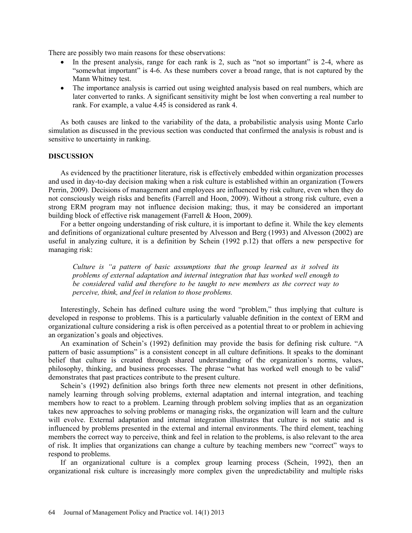There are possibly two main reasons for these observations:

- In the present analysis, range for each rank is 2, such as "not so important" is 2-4, where as "somewhat important" is 4-6. As these numbers cover a broad range, that is not captured by the Mann Whitney test.
- The importance analysis is carried out using weighted analysis based on real numbers, which are later converted to ranks. A significant sensitivity might be lost when converting a real number to rank. For example, a value 4.45 is considered as rank 4.

As both causes are linked to the variability of the data, a probabilistic analysis using Monte Carlo simulation as discussed in the previous section was conducted that confirmed the analysis is robust and is sensitive to uncertainty in ranking.

### **DISCUSSION**

As evidenced by the practitioner literature, risk is effectively embedded within organization processes and used in day-to-day decision making when a risk culture is established within an organization (Towers Perrin, 2009). Decisions of management and employees are influenced by risk culture, even when they do not consciously weigh risks and benefits (Farrell and Hoon, 2009). Without a strong risk culture, even a strong ERM program may not influence decision making; thus, it may be considered an important building block of effective risk management (Farrell & Hoon, 2009).

For a better ongoing understanding of risk culture, it is important to define it. While the key elements and definitions of organizational culture presented by Alvesson and Berg (1993) and Alvesson (2002) are useful in analyzing culture, it is a definition by Schein (1992 p.12) that offers a new perspective for managing risk:

*Culture is "a pattern of basic assumptions that the group learned as it solved its problems of external adaptation and internal integration that has worked well enough to be considered valid and therefore to be taught to new members as the correct way to perceive, think, and feel in relation to those problems.* 

Interestingly, Schein has defined culture using the word "problem," thus implying that culture is developed in response to problems. This is a particularly valuable definition in the context of ERM and organizational culture considering a risk is often perceived as a potential threat to or problem in achieving an organization's goals and objectives.

An examination of Schein's (1992) definition may provide the basis for defining risk culture. "A pattern of basic assumptions" is a consistent concept in all culture definitions. It speaks to the dominant belief that culture is created through shared understanding of the organization's norms, values, philosophy, thinking, and business processes. The phrase "what has worked well enough to be valid" demonstrates that past practices contribute to the present culture.

Schein's (1992) definition also brings forth three new elements not present in other definitions, namely learning through solving problems, external adaptation and internal integration, and teaching members how to react to a problem. Learning through problem solving implies that as an organization takes new approaches to solving problems or managing risks, the organization will learn and the culture will evolve. External adaptation and internal integration illustrates that culture is not static and is influenced by problems presented in the external and internal environments. The third element, teaching members the correct way to perceive, think and feel in relation to the problems, is also relevant to the area of risk. It implies that organizations can change a culture by teaching members new "correct" ways to respond to problems.

If an organizational culture is a complex group learning process (Schein, 1992), then an organizational risk culture is increasingly more complex given the unpredictability and multiple risks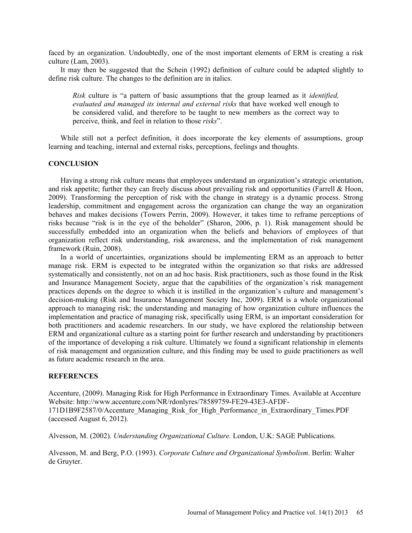faced by an organization. Undoubtedly, one of the most important elements of ERM is creating a risk culture (Lam, 2003).

It may then be suggested that the Schein (1992) definition of culture could be adapted slightly to define risk culture. The changes to the definition are in italics.

*Risk* culture is "a pattern of basic assumptions that the group learned as it *identified, evaluated and managed its internal and external risks* that have worked well enough to be considered valid, and therefore to be taught to new members as the correct way to perceive, think, and feel in relation to those *risks*".

While still not a perfect definition, it does incorporate the key elements of assumptions, group learning and teaching, internal and external risks, perceptions, feelings and thoughts.

### **CONCLUSION**

Having a strong risk culture means that employees understand an organization's strategic orientation, and risk appetite; further they can freely discuss about prevailing risk and opportunities (Farrell & Hoon, 2009). Transforming the perception of risk with the change in strategy is a dynamic process. Strong leadership, commitment and engagement across the organization can change the way an organization behaves and makes decisions (Towers Perrin, 2009). However, it takes time to reframe perceptions of risks because "risk is in the eye of the beholder" (Sharon, 2006, p. 1). Risk management should be successfully embedded into an organization when the beliefs and behaviors of employees of that organization reflect risk understanding, risk awareness, and the implementation of risk management framework (Ruin, 2008).

In a world of uncertainties, organizations should be implementing ERM as an approach to better manage risk. ERM is expected to be integrated within the organization so that risks are addressed systematically and consistently, not on an ad hoc basis. Risk practitioners, such as those found in the Risk and Insurance Management Society, argue that the capabilities of the organization's risk management practices depends on the degree to which it is instilled in the organization's culture and management's decision-making (Risk and Insurance Management Society Inc, 2009). ERM is a whole organizational approach to managing risk; the understanding and managing of how organization culture influences the implementation and practice of managing risk, specifically using ERM, is an important consideration for both practitioners and academic researchers. In our study, we have explored the relationship between ERM and organizational culture as a starting point for further research and understanding by practitioners of the importance of developing a risk culture. Ultimately we found a significant relationship in elements of risk management and organization culture, and this finding may be used to guide practitioners as well as future academic research in the area.

#### **REFERENCES**

Accenture, (2009). Managing Risk for High Performance in Extraordinary Times. Available at Accenture Website: http://www.accenture.com/NR/rdonlyres/78589759-FE29-43E3-AFDF-171D1B9F2587/0/Accenture\_Managing\_Risk\_for\_High\_Performance\_in\_Extraordinary\_Times.PDF (accessed August 6, 2012).

Alvesson, M. (2002). *Understanding Organizational Culture.* London, U.K: SAGE Publications.

Alvesson, M. and Berg, P.O. (1993). *Corporate Culture and Organizational Symbolism*. Berlin: Walter de Gruyter.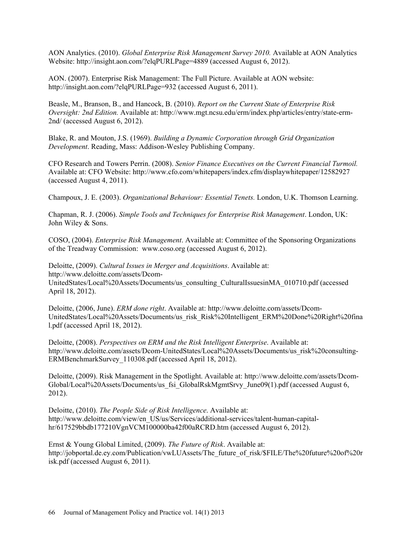AON Analytics. (2010). *Global Enterprise Risk Management Survey 2010.* Available at AON Analytics Website: http://insight.aon.com/?elqPURLPage=4889 (accessed August 6, 2012).

AON. (2007). Enterprise Risk Management: The Full Picture. Available at AON website: http://insight.aon.com/?elqPURLPage=932 (accessed August 6, 2011).

Beasle, M., Branson, B., and Hancock, B. (2010). *Report on the Current State of Enterprise Risk Oversight: 2nd Edition.* Available at: http://www.mgt.ncsu.edu/erm/index.php/articles/entry/state-erm-2nd/ (accessed August 6, 2012).

Blake, R. and Mouton, J.S. (1969). *Building a Dynamic Corporation through Grid Organization Development*. Reading, Mass: Addison-Wesley Publishing Company.

CFO Research and Towers Perrin. (2008). *Senior Finance Executives on the Current Financial Turmoil.* Available at: CFO Website: http://www.cfo.com/whitepapers/index.cfm/displaywhitepaper/12582927 (accessed August 4, 2011).

Champoux, J. E. (2003). *Organizational Behaviour: Essential Tenets.* London, U.K. Thomson Learning.

Chapman, R. J. (2006). *Simple Tools and Techniques for Enterprise Risk Management*. London, UK: John Wiley & Sons.

COSO, (2004). *Enterprise Risk Management*. Available at: Committee of the Sponsoring Organizations of the Treadway Commission: www.coso.org (accessed August 6, 2012).

Deloitte, (2009). *Cultural Issues in Merger and Acquisitions*. Available at: http://www.deloitte.com/assets/Dcom-UnitedStates/Local%20Assets/Documents/us\_consulting\_CulturalIssuesinMA\_010710.pdf (accessed April 18, 2012).

Deloitte, (2006, June). *ERM done right*. Available at: http://www.deloitte.com/assets/Dcom-UnitedStates/Local%20Assets/Documents/us\_risk\_Risk%20Intelligent\_ERM%20Done%20Right%20fina l.pdf (accessed April 18, 2012).

Deloitte, (2008). *Perspectives on ERM and the Risk Intelligent Enterprise*. Available at: http://www.deloitte.com/assets/Dcom-UnitedStates/Local%20Assets/Documents/us\_risk%20consulting-ERMBenchmarkSurvey\_110308.pdf (accessed April 18, 2012).

Deloitte, (2009). Risk Management in the Spotlight. Available at: http://www.deloitte.com/assets/Dcom-Global/Local%20Assets/Documents/us\_fsi\_GlobalRskMgmtSrvy\_June09(1).pdf (accessed August 6, 2012).

Deloitte, (2010). *The People Side of Risk Intelligence*. Available at: http://www.deloitte.com/view/en\_US/us/Services/additional-services/talent-human-capitalhr/617529bbdb177210VgnVCM100000ba42f00aRCRD.htm (accessed August 6, 2012).

Ernst & Young Global Limited, (2009). *The Future of Risk*. Available at: http://jobportal.de.ey.com/Publication/vwLUAssets/The\_future\_of\_risk/\$FILE/The%20future%20of%20r isk.pdf (accessed August 6, 2011).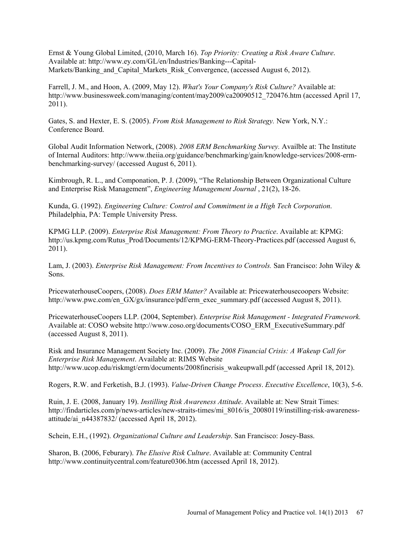Ernst & Young Global Limited, (2010, March 16). *Top Priority: Creating a Risk Aware Culture*. Available at: http://www.ey.com/GL/en/Industries/Banking---Capital-Markets/Banking and Capital Markets Risk Convergence, (accessed August 6, 2012).

Farrell, J. M., and Hoon, A. (2009, May 12). *What's Your Company's Risk Culture?* Available at: http://www.businessweek.com/managing/content/may2009/ca20090512\_720476.htm (accessed April 17, 2011).

Gates, S. and Hexter, E. S. (2005). *From Risk Management to Risk Strategy.* New York, N.Y.: Conference Board.

Global Audit Information Network, (2008). *2008 ERM Benchmarking Survey.* Availble at: The Institute of Internal Auditors: http://www.theiia.org/guidance/benchmarking/gain/knowledge-services/2008-ermbenchmarking-survey/ (accessed August 6, 2011).

Kimbrough, R. L., and Componation, P. J. (2009), "The Relationship Between Organizational Culture and Enterprise Risk Management", *Engineering Management Journal* , 21(2), 18-26.

Kunda, G. (1992). *Engineering Culture: Control and Commitment in a High Tech Corporation*. Philadelphia, PA: Temple University Press.

KPMG LLP. (2009). *Enterprise Risk Management: From Theory to Practice*. Available at: KPMG: http://us.kpmg.com/Rutus\_Prod/Documents/12/KPMG-ERM-Theory-Practices.pdf (accessed August 6, 2011).

Lam, J. (2003). *Enterprise Risk Management: From Incentives to Controls.* San Francisco: John Wiley & Sons.

PricewaterhouseCoopers, (2008). *Does ERM Matter?* Available at: Pricewaterhousecoopers Website: http://www.pwc.com/en\_GX/gx/insurance/pdf/erm\_exec\_summary.pdf (accessed August 8, 2011).

PricewaterhouseCoopers LLP. (2004, September). *Enterprise Risk Management - Integrated Framework.* Available at: COSO website http://www.coso.org/documents/COSO\_ERM\_ExecutiveSummary.pdf (accessed August 8, 2011).

Risk and Insurance Management Society Inc. (2009). *The 2008 Financial Crisis: A Wakeup Call for Enterprise Risk Management*. Available at: RIMS Website http://www.ucop.edu/riskmgt/erm/documents/2008fincrisis\_wakeupwall.pdf (accessed April 18, 2012).

Rogers, R.W. and Ferketish, B.J. (1993). *Value-Driven Change Process*. *Executive Excellence*, 10(3), 5-6.

Ruin, J. E. (2008, January 19). *Instilling Risk Awareness Attitude*. Available at: New Strait Times: http://findarticles.com/p/news-articles/new-straits-times/mi\_8016/is\_20080119/instilling-risk-awarenessattitude/ai\_n44387832/ (accessed April 18, 2012).

Schein, E.H., (1992). *Organizational Culture and Leadership*. San Francisco: Josey-Bass.

Sharon, B. (2006, Feburary). *The Elusive Risk Culture*. Available at: Community Central http://www.continuitycentral.com/feature0306.htm (accessed April 18, 2012).